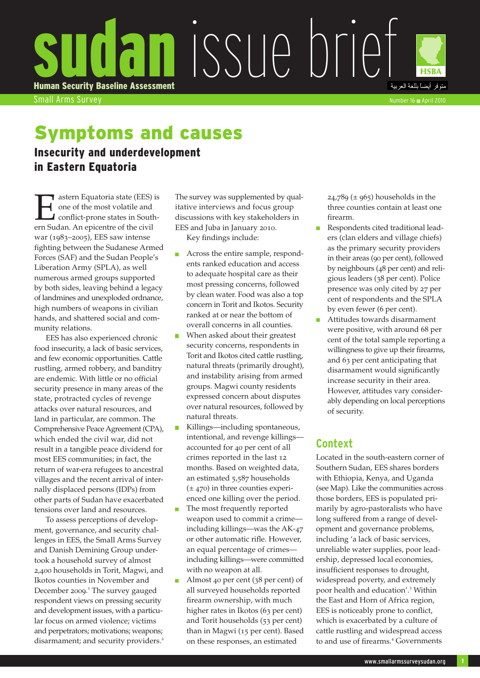

# Symptoms and causes

Insecurity and underdevelopment in Eastern Equatoria

Equatoria state (EES) is<br>
one of the most volatile and<br>
conflict-prone states in South-<br>
ern Sudan. An enicentre of the civil one of the most volatile and conflict-prone states in Southern Sudan. An epicentre of the civil war (1983–2005), EES saw intense fighting between the Sudanese Armed Forces (SAF) and the Sudan People's Liberation Army (SPLA), as well numerous armed groups supported by both sides, leaving behind a legacy of landmines and unexploded ordnance, high numbers of weapons in civilian hands, and shattered social and community relations.

EES has also experienced chronic food insecurity, a lack of basic services, and few economic opportunities. Cattle rustling, armed robbery, and banditry are endemic. With little or no official security presence in many areas of the state, protracted cycles of revenge attacks over natural resources, and land in particular, are common. The Comprehensive Peace Agreement (CPA), which ended the civil war, did not result in a tangible peace dividend for most EES communities; in fact, the return of war-era refugees to ancestral villages and the recent arrival of internally displaced persons (IDPs) from other parts of Sudan have exacerbated tensions over land and resources.

To assess perceptions of development, governance, and security challenges in EES, the Small Arms Survey and Danish Demining Group undertook a household survey of almost 2,400 households in Torit, Magwi, and Ikotos counties in November and December 2009.<sup>1</sup> The survey gauged respondent views on pressing security and development issues, with a particular focus on armed violence; victims and perpetrators; motivations; weapons; disarmament; and security providers.<sup>2</sup>

The survey was supplemented by qualitative interviews and focus group discussions with key stakeholders in EES and Juba in January 2010. Key findings include:

- Across the entire sample, respond- $\mathbf{r}$ ents ranked education and access to adequate hospital care as their most pressing concerns, followed by clean water. Food was also a top concern in Torit and Ikotos. Security ranked at or near the bottom of overall concerns in all counties.
- When asked about their greatest  $\mathcal{L}_{\mathcal{A}}$ security concerns, respondents in Torit and Ikotos cited cattle rustling, natural threats (primarily drought), and instability arising from armed groups. Magwi county residents expressed concern about disputes over natural resources, followed by natural threats.
- Killings—including spontaneous, intentional, and revenge killings accounted for 40 per cent of all crimes reported in the last 12 months. Based on weighted data, an estimated 5,587 households  $(\pm 470)$  in three counties experienced one killing over the period.
- $\overline{\phantom{a}}$ The most frequently reported weapon used to commit a crime including killings—was the AK-47 or other automatic rifle. However, an equal percentage of crimes including killings—were committed with no weapon at all.
- $\mathbf{r}$ Almost 40 per cent (38 per cent) of all surveyed households reported firearm ownership, with much higher rates in Ikotos (63 per cent) and Torit households (53 per cent) than in Magwi (15 per cent). Based on these responses, an estimated

 $24,789 \ (\pm 965)$  households in the three counties contain at least one firearm.

- Respondents cited traditional lead-÷. ers (clan elders and village chiefs) as the primary security providers in their areas (90 per cent), followed by neighbours (48 per cent) and religious leaders (38 per cent). Police presence was only cited by 27 per cent of respondents and the SPLA by even fewer (6 per cent).
- Attitudes towards disarmament m, were positive, with around 68 per cent of the total sample reporting a willingness to give up their firearms, and 63 per cent anticipating that disarmament would significantly increase security in their area. However, attitudes vary considerably depending on local perceptions of security.

# **Context**

Located in the south-eastern corner of Southern Sudan, EES shares borders with Ethiopia, Kenya, and Uganda (see Map). Like the communities across those borders, EES is populated primarily by agro-pastoralists who have long suffered from a range of development and governance problems, including 'a lack of basic services, unreliable water supplies, poor leadership, depressed local economies, insufficient responses to drought, widespread poverty, and extremely poor health and education'.<sup>3</sup> Within the East and Horn of Africa region, EES is noticeably prone to conflict, which is exacerbated by a culture of cattle rustling and widespread access to and use of firearms.<sup>4</sup> Governments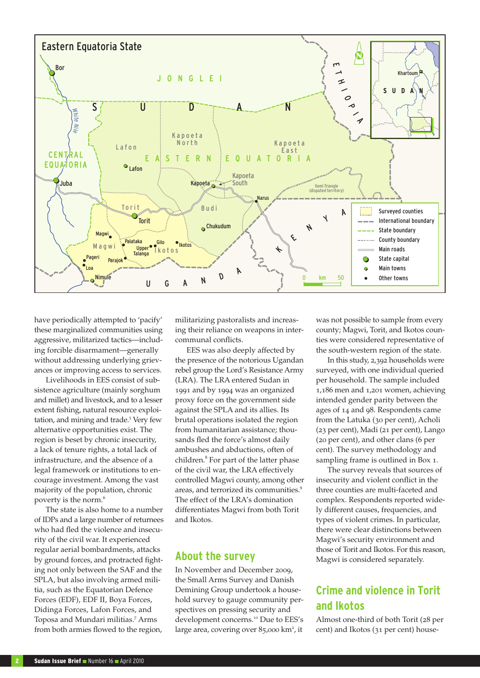

have periodically attempted to 'pacify' these marginalized communities using aggressive, militarized tactics—including forcible disarmament—generally without addressing underlying grievances or improving access to services.

Livelihoods in EES consist of subsistence agriculture (mainly sorghum and millet) and livestock, and to a lesser extent fishing, natural resource exploitation, and mining and trade.<sup>5</sup> Very few alternative opportunities exist. The region is beset by chronic insecurity, a lack of tenure rights, a total lack of infrastructure, and the absence of a legal framework or institutions to encourage investment. Among the vast majority of the population, chronic poverty is the norm.<sup>6</sup>

The state is also home to a number of IDPs and a large number of returnees who had fled the violence and insecurity of the civil war. It experienced regular aerial bombardments, attacks by ground forces, and protracted fighting not only between the SAF and the SPLA, but also involving armed militia, such as the Equatorian Defence Forces (EDF), EDF II, Boya Forces, Didinga Forces, Lafon Forces, and Toposa and Mundari militias.<sup>7</sup> Arms from both armies flowed to the region,

militarizing pastoralists and increasing their reliance on weapons in intercommunal conflicts.

EES was also deeply affected by the presence of the notorious Ugandan rebel group the Lord's Resistance Army (LRA). The LRA entered Sudan in 1991 and by 1994 was an organized proxy force on the government side against the SPLA and its allies. Its brutal operations isolated the region from humanitarian assistance; thousands fled the force's almost daily ambushes and abductions, often of children.<sup>8</sup> For part of the latter phase of the civil war, the LRA effectively controlled Magwi county, among other areas, and terrorized its communities.<sup>9</sup> The effect of the LRA's domination differentiates Magwi from both Torit and Ikotos.

### **About the survey**

In November and December 2009, the Small Arms Survey and Danish Demining Group undertook a household survey to gauge community perspectives on pressing security and development concerns.<sup>10</sup> Due to EES's large area, covering over 85,000 km<sup>2</sup>, it

was not possible to sample from every county; Magwi, Torit, and Ikotos counties were considered representative of the south-western region of the state.

In this study, 2,392 households were surveyed, with one individual queried per household. The sample included 1,186 men and 1,201 women, achieving intended gender parity between the ages of 14 and 98. Respondents came from the Latuka (30 per cent), Acholi (23 per cent), Madi (21 per cent), Lango (20 per cent), and other clans (6 per cent). The survey methodology and sampling frame is outlined in Box 1.

The survey reveals that sources of insecurity and violent conflict in the three counties are multi-faceted and complex. Respondents reported widely different causes, frequencies, and types of violent crimes. In particular, there were clear distinctions between Magwi's security environment and those of Torit and Ikotos. For this reason, Magwi is considered separately.

# **Crime and violence in Torit and Ikotos**

Almost one-third of both Torit (28 per cent) and Ikotos (31 per cent) house-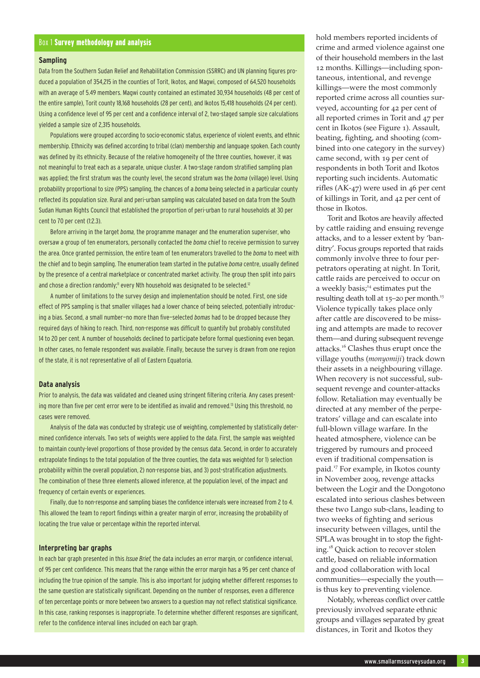#### Box 1 Survey methodology and analysis

#### **Sampling**

Data from the Southern Sudan Relief and Rehabilitation Commission (SSRRC) and UN planning figures produced a population of 354,215 in the counties of Torit, Ikotos, and Magwi, composed of 64,520 households with an average of 5.49 members. Magwi county contained an estimated 30,934 households (48 per cent of the entire sample), Torit county 18,168 households (28 per cent), and Ikotos 15,418 households (24 per cent). Using a confidence level of 95 per cent and a confidence interval of 2, two-staged sample size calculations yielded a sample size of 2,315 households.

Populations were grouped according to socio-economic status, experience of violent events, and ethnic membership. Ethnicity was defined according to tribal (clan) membership and language spoken. Each county was defined by its ethnicity. Because of the relative homogeneity of the three counties, however, it was not meaningful to treat each as a separate, unique cluster. A two-stage random stratified sampling plan was applied; the first stratum was the county level, the second stratum was the *boma* (village) level. Using probability proportional to size (PPS) sampling, the chances of a *boma* being selected in a particular county reflected its population size. Rural and peri-urban sampling was calculated based on data from the South Sudan Human Rights Council that established the proportion of peri-urban to rural households at 30 per cent to 70 per cent (1:2.3).

Before arriving in the target *boma,* the programme manager and the enumeration superviser, who oversaw a group of ten enumerators, personally contacted the *boma* chief to receive permission to survey the area. Once granted permission, the entire team of ten enumerators travelled to the *boma* to meet with the chief and to begin sampling. The enumeration team started in the putative *boma* centre, usually defined by the presence of a central marketplace or concentrated market activity. The group then split into pairs and chose a direction randomly;<sup>11</sup> every Nth household was designated to be selected.<sup>12</sup>

A number of limitations to the survey design and implementation should be noted. First, one side effect of PPS sampling is that smaller villages had a lower chance of being selected, potentially introducing a bias. Second, a small number—no more than five—selected *bomas* had to be dropped because they required days of hiking to reach. Third, non-response was difficult to quantify but probably constituted 14 to 20 per cent. A number of households declined to participate before formal questioning even began. In other cases, no female respondent was available. Finally, because the survey is drawn from one region of the state, it is not representative of all of Eastern Equatoria.

#### **Data analysis**

Prior to analysis, the data was validated and cleaned using stringent filtering criteria. Any cases presenting more than five per cent error were to be identified as invalid and removed.<sup>13</sup> Using this threshold, no cases were removed.

Analysis of the data was conducted by strategic use of weighting, complemented by statistically determined confidence intervals. Two sets of weights were applied to the data. First, the sample was weighted to maintain county-level proportions of those provided by the census data. Second, in order to accurately extrapolate findings to the total population of the three counties, the data was weighted for 1) selection probability within the overall population, 2) non-response bias, and 3) post-stratification adjustments. The combination of these three elements allowed inference, at the population level, of the impact and frequency of certain events or experiences.

Finally, due to non-response and sampling biases the confidence intervals were increased from 2 to 4. This allowed the team to report findings within a greater margin of error, increasing the probability of locating the true value or percentage within the reported interval.

#### **Interpreting bar graphs**

In each bar graph presented in this *Issue Brief,* the data includes an error margin, or confidence interval, of 95 per cent confidence. This means that the range within the error margin has a 95 per cent chance of including the true opinion of the sample. This is also important for judging whether different responses to the same question are statistically significant. Depending on the number of responses, even a difference of ten percentage points or more between two answers to a question may not reflect statistical significance. In this case, ranking responses is inappropriate. To determine whether different responses are significant, refer to the confidence interval lines included on each bar graph.

hold members reported incidents of crime and armed violence against one of their household members in the last 12 months. Killings—including spontaneous, intentional, and revenge killings—were the most commonly reported crime across all counties surveyed, accounting for 42 per cent of all reported crimes in Torit and 47 per cent in Ikotos (see Figure 1). Assault, beating, fighting, and shooting (combined into one category in the survey) came second, with 19 per cent of respondents in both Torit and Ikotos reporting such incidents. Automatic rifles (AK-47) were used in 46 per cent of killings in Torit, and 42 per cent of those in Ikotos.

Torit and Ikotos are heavily affected by cattle raiding and ensuing revenge attacks, and to a lesser extent by 'banditry'. Focus groups reported that raids commonly involve three to four perpetrators operating at night. In Torit, cattle raids are perceived to occur on a weekly basis;<sup>14</sup> estimates put the resulting death toll at 15-20 per month.<sup>15</sup> Violence typically takes place only after cattle are discovered to be missing and attempts are made to recover them—and during subsequent revenge attacks.<sup>16</sup> Clashes thus erupt once the village youths (*monyomiji*) track down their assets in a neighbouring village. When recovery is not successful, subsequent revenge and counter-attacks follow. Retaliation may eventually be directed at any member of the perpetrators' village and can escalate into full-blown village warfare. In the heated atmosphere, violence can be triggered by rumours and proceed even if traditional compensation is paid.<sup>17</sup> For example, in Ikotos county in November 2009, revenge attacks between the Logir and the Dongotono escalated into serious clashes between these two Lango sub-clans, leading to two weeks of fighting and serious insecurity between villages, until the SPLA was brought in to stop the fighting.<sup>18</sup> Quick action to recover stolen cattle, based on reliable information and good collaboration with local communities—especially the youth is thus key to preventing violence.

Notably, whereas conflict over cattle previously involved separate ethnic groups and villages separated by great distances, in Torit and Ikotos they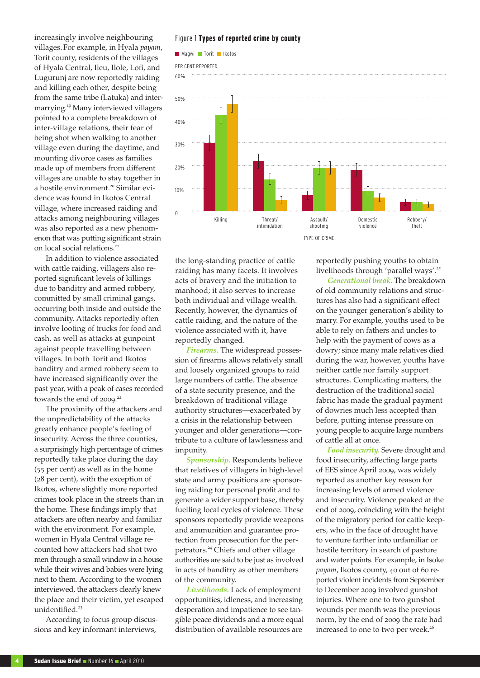increasingly involve neighbouring villages. For example, in Hyala *payam*, Torit county, residents of the villages of Hyala Central, Ileu, Ilole, Lofi, and Lugurunj are now reportedly raiding and killing each other, despite being from the same tribe (Latuka) and intermarrying.<sup>19</sup> Many interviewed villagers pointed to a complete breakdown of inter-village relations, their fear of being shot when walking to another village even during the daytime, and mounting divorce cases as families made up of members from different villages are unable to stay together in a hostile environment.<sup>20</sup> Similar evidence was found in Ikotos Central village, where increased raiding and attacks among neighbouring villages was also reported as a new phenomenon that was putting significant strain on local social relations.<sup>21</sup>

In addition to violence associated with cattle raiding, villagers also reported significant levels of killings due to banditry and armed robbery, committed by small criminal gangs, occurring both inside and outside the community. Attacks reportedly often involve looting of trucks for food and cash, as well as attacks at gunpoint against people travelling between villages. In both Torit and Ikotos banditry and armed robbery seem to have increased significantly over the past year, with a peak of cases recorded towards the end of 2009.<sup>22</sup>

The proximity of the attackers and the unpredictability of the attacks greatly enhance people's feeling of insecurity. Across the three counties, a surprisingly high percentage of crimes reportedly take place during the day (55 per cent) as well as in the home (28 per cent), with the exception of Ikotos, where slightly more reported crimes took place in the streets than in the home. These findings imply that attackers are often nearby and familiar with the environment. For example, women in Hyala Central village recounted how attackers had shot two men through a small window in a house while their wives and babies were lying next to them. According to the women interviewed, the attackers clearly knew the place and their victim, yet escaped unidentified.<sup>23</sup>

According to focus group discussions and key informant interviews,

#### Figure 1 Types of reported crime by county



the long-standing practice of cattle raiding has many facets. It involves acts of bravery and the initiation to manhood; it also serves to increase both individual and village wealth. Recently, however, the dynamics of cattle raiding, and the nature of the violence associated with it, have reportedly changed.

*Firearms.* The widespread possession of firearms allows relatively small and loosely organized groups to raid large numbers of cattle. The absence of a state security presence, and the breakdown of traditional village authority structures—exacerbated by a crisis in the relationship between younger and older generations—contribute to a culture of lawlessness and impunity.

*Sponsorship.* Respondents believe that relatives of villagers in high-level state and army positions are sponsoring raiding for personal profit and to generate a wider support base, thereby fuelling local cycles of violence. These sponsors reportedly provide weapons and ammunition and guarantee protection from prosecution for the perpetrators.<sup>24</sup> Chiefs and other village authorities are said to be just as involved in acts of banditry as other members of the community.

*Livelihoods.* Lack of employment opportunities, idleness, and increasing desperation and impatience to see tangible peace dividends and a more equal distribution of available resources are

reportedly pushing youths to obtain livelihoods through 'parallel ways'.<sup>25</sup>

*Generational break.* The breakdown of old community relations and structures has also had a significant effect on the younger generation's ability to marry. For example, youths used to be able to rely on fathers and uncles to help with the payment of cows as a dowry; since many male relatives died during the war, however, youths have neither cattle nor family support structures. Complicating matters, the destruction of the traditional social fabric has made the gradual payment of dowries much less accepted than before, putting intense pressure on young people to acquire large numbers of cattle all at once.

*Food insecurity.* Severe drought and food insecurity, affecting large parts of EES since April 2009, was widely reported as another key reason for increasing levels of armed violence and insecurity. Violence peaked at the end of 2009, coinciding with the height of the migratory period for cattle keepers, who in the face of drought have to venture farther into unfamiliar or hostile territory in search of pasture and water points. For example, in Isoke *payam*, Ikotos county, 40 out of 60 reported violent incidents from September to December 2009 involved gunshot injuries. Where one to two gunshot wounds per month was the previous norm, by the end of 2009 the rate had increased to one to two per week.<sup>26</sup>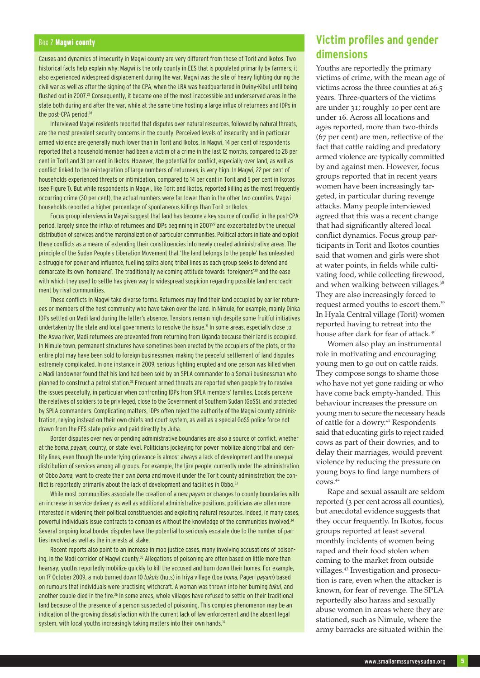#### Box 2 Magwi county

Causes and dynamics of insecurity in Magwi county are very different from those of Torit and Ikotos. Two historical facts help explain why: Magwi is the only county in EES that is populated primarily by farmers; it also experienced widespread displacement during the war. Magwi was the site of heavy fighting during the civil war as well as after the signing of the CPA, when the LRA was headquartered in Owiny-Kibul until being flushed out in 2007.<sup>27</sup> Consequently, it became one of the most inaccessible and underserved areas in the state both during and after the war, while at the same time hosting a large influx of returnees and IDPs in the post-CPA period.28

Interviewed Magwi residents reported that disputes over natural resources, followed by natural threats, are the most prevalent security concerns in the county. Perceived levels of insecurity and in particular armed violence are generally much lower than in Torit and Ikotos. In Magwi, 14 per cent of respondents reported that a household member had been a victim of a crime in the last 12 months, compared to 28 per cent in Torit and 31 per cent in Ikotos. However, the potential for conflict, especially over land, as well as conflict linked to the reintegration of large numbers of returnees, is very high. In Magwi, 22 per cent of households experienced threats or intimidation, compared to 14 per cent in Torit and 5 per cent in Ikotos (see Figure 1). But while respondents in Magwi, like Torit and Ikotos, reported killing as the most frequently occurring crime (30 per cent), the actual numbers were far lower than in the other two counties. Magwi households reported a higher percentage of spontaneous killings than Torit or Ikotos.

Focus group interviews in Magwi suggest that land has become a key source of conflict in the post-CPA period, largely since the influx of returnees and IDPs beginning in 200729 and exacerbated by the unequal distribution of services and the marginalization of particular communities. Political actors initiate and exploit these conflicts as a means of extending their constituencies into newly created administrative areas. The principle of the Sudan People's Liberation Movement that 'the land belongs to the people' has unleashed a struggle for power and influence, fuelling splits along tribal lines as each group seeks to defend and demarcate its own 'homeland'. The traditionally welcoming attitude towards 'foreigners'30 and the ease with which they used to settle has given way to widespread suspicion regarding possible land encroachment by rival communities.

These conflicts in Magwi take diverse forms. Returnees may find their land occupied by earlier returnees or members of the host community who have taken over the land. In Nimule, for example, mainly Dinka IDPs settled on Madi land during the latter's absence. Tensions remain high despite some fruitful initiatives undertaken by the state and local governments to resolve the issue.<sup>31</sup> In some areas, especially close to the Aswa river, Madi returnees are prevented from returning from Uganda because their land is occupied. In Nimule town, permanent structures have sometimes been erected by the occupiers of the plots, or the entire plot may have been sold to foreign businessmen, making the peaceful settlement of land disputes extremely complicated. In one instance in 2009, serious fighting erupted and one person was killed when a Madi landowner found that his land had been sold by an SPLA commander to a Somali businessman who planned to construct a petrol station.<sup>32</sup> Frequent armed threats are reported when people try to resolve the issues peacefully, in particular when confronting IDPs from SPLA members' families. Locals perceive the relatives of soldiers to be privileged, close to the Government of Southern Sudan (GoSS), and protected by SPLA commanders. Complicating matters, IDPs often reject the authority of the Magwi county administration, relying instead on their own chiefs and court system, as well as a special GoSS police force not drawn from the EES state police and paid directly by Juba.

Border disputes over new or pending administrative boundaries are also a source of conflict, whether at the *boma, payam,* county, or state level. Politicians jockeying for power mobilize along tribal and identity lines, even though the underlying grievance is almost always a lack of development and the unequal distribution of services among all groups. For example, the Ijire people, currently under the administration of Obbo *boma,* want to create their own *boma* and move it under the Torit county administration; the conflict is reportedly primarily about the lack of development and facilities in Obbo.33

While most communities associate the creation of a new *payam* or changes to county boundaries with an increase in service delivery as well as additional administrative positions, politicians are often more interested in widening their political constituencies and exploiting natural resources. Indeed, in many cases, powerful individuals issue contracts to companies without the knowledge of the communities involved.34 Several ongoing local border disputes have the potential to seriously escalate due to the number of parties involved as well as the interests at stake.

Recent reports also point to an increase in mob justice cases, many involving accusations of poisoning, in the Madi corridor of Magwi county.<sup>35</sup> Allegations of poisoning are often based on little more than hearsay; youths reportedly mobilize quickly to kill the accused and burn down their homes. For example, on 17 October 2009, a mob burned down 10 *tukuls* (huts) in Iriya village (Loa *boma,* Pageri *payam*) based on rumours that individuals were practising witchcraft. A woman was thrown into her burning *tukul,* and another couple died in the fire.36 In some areas, whole villages have refused to settle on their traditional land because of the presence of a person suspected of poisoning. This complex phenomenon may be an indication of the growing dissatisfaction with the current lack of law enforcement and the absent legal system, with local youths increasingly taking matters into their own hands.<sup>37</sup>

### **Victim profiles and gender dimensions**

Youths are reportedly the primary victims of crime, with the mean age of victims across the three counties at 26.5 years. Three-quarters of the victims are under 31; roughly 10 per cent are under 16. Across all locations and ages reported, more than two-thirds (67 per cent) are men, reflective of the fact that cattle raiding and predatory armed violence are typically committed by and against men. However, focus groups reported that in recent years women have been increasingly targeted, in particular during revenge attacks. Many people interviewed agreed that this was a recent change that had significantly altered local conflict dynamics. Focus group participants in Torit and Ikotos counties said that women and girls were shot at water points, in fields while cultivating food, while collecting firewood, and when walking between villages. $38$ They are also increasingly forced to request armed youths to escort them.<sup>39</sup> In Hyala Central village (Torit) women reported having to retreat into the house after dark for fear of attack.<sup>40</sup>

Women also play an instrumental role in motivating and encouraging young men to go out on cattle raids. They compose songs to shame those who have not yet gone raiding or who have come back empty-handed. This behaviour increases the pressure on young men to secure the necessary heads of cattle for a dowry.<sup>41</sup> Respondents said that educating girls to reject raided cows as part of their dowries, and to delay their marriages, would prevent violence by reducing the pressure on young boys to find large numbers of cows.<sup>42</sup>

Rape and sexual assault are seldom reported (3 per cent across all counties), but anecdotal evidence suggests that they occur frequently. In Ikotos, focus groups reported at least several monthly incidents of women being raped and their food stolen when coming to the market from outside villages.<sup>43</sup> Investigation and prosecution is rare, even when the attacker is known, for fear of revenge. The SPLA reportedly also harass and sexually abuse women in areas where they are stationed, such as Nimule, where the army barracks are situated within the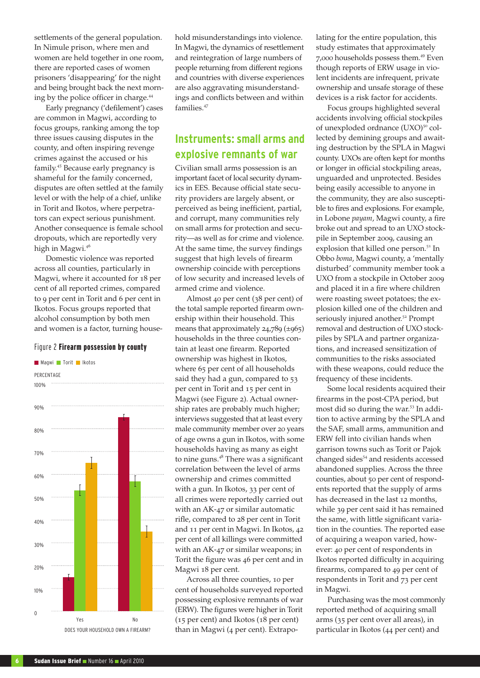settlements of the general population. In Nimule prison, where men and women are held together in one room, there are reported cases of women prisoners 'disappearing' for the night and being brought back the next morning by the police officer in charge.<sup>44</sup>

Early pregnancy ('defilement') cases are common in Magwi, according to focus groups, ranking among the top three issues causing disputes in the county, and often inspiring revenge crimes against the accused or his family.<sup>45</sup> Because early pregnancy is shameful for the family concerned, disputes are often settled at the family level or with the help of a chief, unlike in Torit and Ikotos, where perpetrators can expect serious punishment. Another consequence is female school dropouts, which are reportedly very high in Magwi.<sup>46</sup>

Domestic violence was reported across all counties, particularly in Magwi, where it accounted for 18 per cent of all reported crimes, compared to 9 per cent in Torit and 6 per cent in Ikotos. Focus groups reported that alcohol consumption by both men and women is a factor, turning house-

#### Figure 2 Firearm possession by county





hold misunderstandings into violence. In Magwi, the dynamics of resettlement and reintegration of large numbers of people returning from different regions and countries with diverse experiences are also aggravating misunderstandings and conflicts between and within families.<sup>47</sup>

### **Instruments: small arms and explosive remnants of war**

Civilian small arms possession is an important facet of local security dynamics in EES. Because official state security providers are largely absent, or perceived as being inefficient, partial, and corrupt, many communities rely on small arms for protection and security—as well as for crime and violence. At the same time, the survey findings suggest that high levels of firearm ownership coincide with perceptions of low security and increased levels of armed crime and violence.

Almost 40 per cent (38 per cent) of the total sample reported firearm ownership within their household. This means that approximately 24,789 (±965) households in the three counties contain at least one firearm. Reported ownership was highest in Ikotos, where 65 per cent of all households said they had a gun, compared to 53 per cent in Torit and 15 per cent in Magwi (see Figure 2). Actual ownership rates are probably much higher; interviews suggested that at least every male community member over 20 years of age owns a gun in Ikotos, with some households having as many as eight to nine guns.<sup>48</sup> There was a significant correlation between the level of arms ownership and crimes committed with a gun. In Ikotos, 33 per cent of all crimes were reportedly carried out with an AK-47 or similar automatic rifle, compared to 28 per cent in Torit and 11 per cent in Magwi. In Ikotos, 42 per cent of all killings were committed with an AK-47 or similar weapons; in Torit the figure was 46 per cent and in Magwi 18 per cent.

Across all three counties, 10 per cent of households surveyed reported possessing explosive remnants of war (ERW). The figures were higher in Torit (15 per cent) and Ikotos (18 per cent) than in Magwi (4 per cent). Extrapolating for the entire population, this study estimates that approximately 7,000 households possess them.<sup>49</sup> Even though reports of ERW usage in violent incidents are infrequent, private ownership and unsafe storage of these devices is a risk factor for accidents.

Focus groups highlighted several accidents involving official stockpiles of unexploded ordnance (UXO)<sup>50</sup> collected by demining groups and awaiting destruction by the SPLA in Magwi county. UXOs are often kept for months or longer in official stockpiling areas, unguarded and unprotected. Besides being easily accessible to anyone in the community, they are also susceptible to fires and explosions. For example, in Lobone *payam*, Magwi county, a fire broke out and spread to an UXO stockpile in September 2009, causing an explosion that killed one person.<sup>51</sup> In Obbo *boma*, Magwi county, a 'mentally disturbed' community member took a UXO from a stockpile in October 2009 and placed it in a fire where children were roasting sweet potatoes; the explosion killed one of the children and seriously injured another.<sup>52</sup> Prompt removal and destruction of UXO stockpiles by SPLA and partner organizations, and increased sensitization of communities to the risks associated with these weapons, could reduce the frequency of these incidents.

Some local residents acquired their firearms in the post-CPA period, but most did so during the war.<sup>53</sup> In addition to active arming by the SPLA and the SAF, small arms, ammunition and ERW fell into civilian hands when garrison towns such as Torit or Pajok changed sides<sup>54</sup> and residents accessed abandoned supplies. Across the three counties, about 50 per cent of respondents reported that the supply of arms has decreased in the last 12 months, while 39 per cent said it has remained the same, with little significant variation in the counties. The reported ease of acquiring a weapon varied, however: 40 per cent of respondents in Ikotos reported difficulty in acquiring firearms, compared to 49 per cent of respondents in Torit and 73 per cent in Magwi.

Purchasing was the most commonly reported method of acquiring small arms (35 per cent over all areas), in particular in Ikotos (44 per cent) and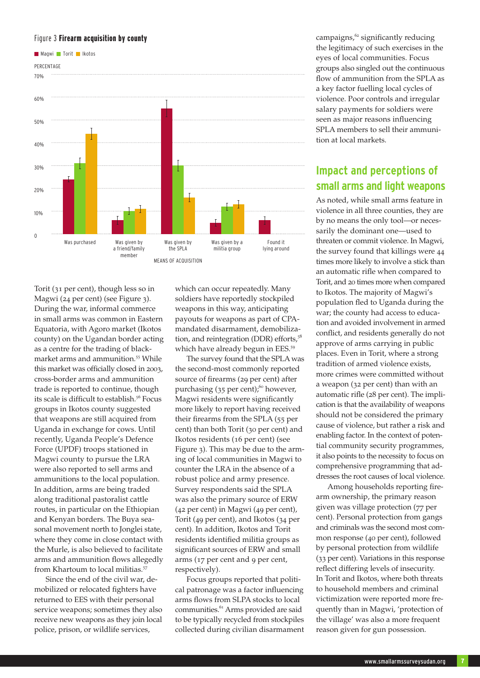#### Figure 3 Firearm acquisition by county



Torit (31 per cent), though less so in Magwi (24 per cent) (see Figure 3). During the war, informal commerce in small arms was common in Eastern Equatoria, with Agoro market (Ikotos county) on the Ugandan border acting as a centre for the trading of blackmarket arms and ammunition.<sup>55</sup> While this market was officially closed in 2003, cross-border arms and ammunition trade is reported to continue, though its scale is difficult to establish.<sup>56</sup> Focus groups in Ikotos county suggested that weapons are still acquired from Uganda in exchange for cows. Until recently, Uganda People's Defence Force (UPDF) troops stationed in Magwi county to pursue the LRA were also reported to sell arms and ammunitions to the local population. In addition, arms are being traded along traditional pastoralist cattle routes, in particular on the Ethiopian and Kenyan borders. The Buya seasonal movement north to Jonglei state, where they come in close contact with the Murle, is also believed to facilitate arms and ammunition flows allegedly from Khartoum to local militias.<sup>57</sup>

Since the end of the civil war, demobilized or relocated fighters have returned to EES with their personal service weapons; sometimes they also receive new weapons as they join local police, prison, or wildlife services,

which can occur repeatedly. Many soldiers have reportedly stockpiled weapons in this way, anticipating payouts for weapons as part of CPAmandated disarmament, demobilization, and reintegration (DDR) efforts,<sup>58</sup> which have already begun in EES.<sup>59</sup>

The survey found that the SPLA was the second-most commonly reported source of firearms (29 per cent) after purchasing  $(35$  per cent);<sup>60</sup> however, Magwi residents were significantly more likely to report having received their firearms from the SPLA (55 per cent) than both Torit (30 per cent) and Ikotos residents (16 per cent) (see Figure 3). This may be due to the arming of local communities in Magwi to counter the LRA in the absence of a robust police and army presence. Survey respondents said the SPLA was also the primary source of ERW (42 per cent) in Magwi (49 per cent), Torit (49 per cent), and Ikotos (34 per cent). In addition, Ikotos and Torit residents identified militia groups as significant sources of ERW and small arms (17 per cent and 9 per cent, respectively).

Focus groups reported that political patronage was a factor influencing arms flows from SLPA stocks to local communities.<sup>61</sup> Arms provided are said to be typically recycled from stockpiles collected during civilian disarmament

campaigns, $62$  significantly reducing the legitimacy of such exercises in the eyes of local communities. Focus groups also singled out the continuous flow of ammunition from the SPLA as a key factor fuelling local cycles of violence. Poor controls and irregular salary payments for soldiers were seen as major reasons influencing SPLA members to sell their ammunition at local markets.

# **Impact and perceptions of small arms and light weapons**

As noted, while small arms feature in violence in all three counties, they are by no means the only tool—or necessarily the dominant one—used to threaten or commit violence. In Magwi, the survey found that killings were 44 times more likely to involve a stick than an automatic rifle when compared to Torit, and 20 times more when compared to Ikotos. The majority of Magwi's population fled to Uganda during the war; the county had access to education and avoided involvement in armed conflict, and residents generally do not approve of arms carrying in public places. Even in Torit, where a strong tradition of armed violence exists, more crimes were committed without a weapon (32 per cent) than with an automatic rifle (28 per cent). The implication is that the availability of weapons should not be considered the primary cause of violence, but rather a risk and enabling factor. In the context of potential community security programmes, it also points to the necessity to focus on comprehensive programming that addresses the root causes of local violence.

Among households reporting firearm ownership, the primary reason given was village protection (77 per cent). Personal protection from gangs and criminals was the second most common response (40 per cent), followed by personal protection from wildlife (33 per cent). Variations in this response reflect differing levels of insecurity. In Torit and Ikotos, where both threats to household members and criminal victimization were reported more frequently than in Magwi, 'protection of the village' was also a more frequent reason given for gun possession.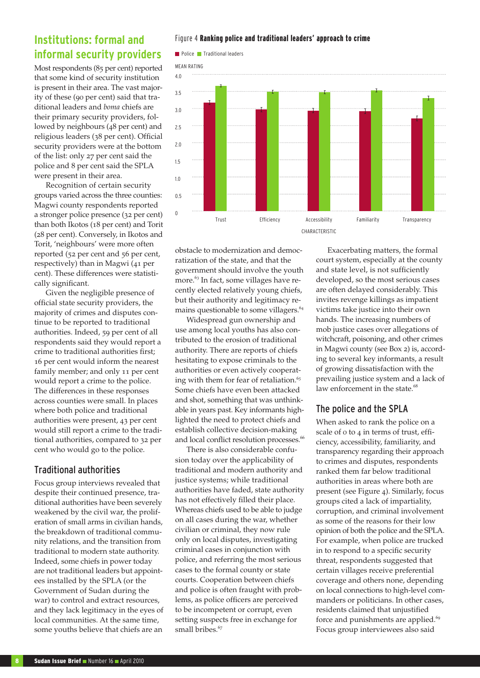#### Figure 4 Ranking police and traditional leaders' approach to crime

# **Institutions: formal and informal security providers**

Most respondents (85 per cent) reported that some kind of security institution is present in their area. The vast majority of these (90 per cent) said that traditional leaders and *boma* chiefs are their primary security providers, followed by neighbours (48 per cent) and religious leaders (38 per cent). Official security providers were at the bottom of the list: only 27 per cent said the police and 8 per cent said the SPLA were present in their area.

Recognition of certain security groups varied across the three counties: Magwi county respondents reported a stronger police presence (32 per cent) than both Ikotos (18 per cent) and Torit (28 per cent). Conversely, in Ikotos and Torit, 'neighbours' were more often reported (52 per cent and 56 per cent, respectively) than in Magwi (41 per cent). These differences were statistically significant.

Given the negligible presence of official state security providers, the majority of crimes and disputes continue to be reported to traditional authorities. Indeed, 59 per cent of all respondents said they would report a crime to traditional authorities first; 16 per cent would inform the nearest family member; and only 11 per cent would report a crime to the police. The differences in these responses across counties were small. In places where both police and traditional authorities were present, 43 per cent would still report a crime to the traditional authorities, compared to 32 per cent who would go to the police.

### Traditional authorities

Focus group interviews revealed that despite their continued presence, traditional authorities have been severely weakened by the civil war, the proliferation of small arms in civilian hands, the breakdown of traditional community relations, and the transition from traditional to modern state authority. Indeed, some chiefs in power today are not traditional leaders but appointees installed by the SPLA (or the Government of Sudan during the war) to control and extract resources, and they lack legitimacy in the eyes of local communities. At the same time, some youths believe that chiefs are an



obstacle to modernization and democratization of the state, and that the government should involve the youth more.<sup>63</sup> In fact, some villages have recently elected relatively young chiefs, but their authority and legitimacy remains questionable to some villagers.<sup>64</sup>

Widespread gun ownership and use among local youths has also contributed to the erosion of traditional authority. There are reports of chiefs hesitating to expose criminals to the authorities or even actively cooperating with them for fear of retaliation.<sup>65</sup> Some chiefs have even been attacked and shot, something that was unthinkable in years past. Key informants highlighted the need to protect chiefs and establish collective decision-making and local conflict resolution processes.<sup>66</sup>

There is also considerable confusion today over the applicability of traditional and modern authority and justice systems; while traditional authorities have faded, state authority has not effectively filled their place. Whereas chiefs used to be able to judge on all cases during the war, whether civilian or criminal, they now rule only on local disputes, investigating criminal cases in conjunction with police, and referring the most serious cases to the formal county or state courts. Cooperation between chiefs and police is often fraught with problems, as police officers are perceived to be incompetent or corrupt, even setting suspects free in exchange for small bribes.<sup>67</sup>

Exacerbating matters, the formal court system, especially at the county and state level, is not sufficiently developed, so the most serious cases are often delayed considerably. This invites revenge killings as impatient victims take justice into their own hands. The increasing numbers of mob justice cases over allegations of witchcraft, poisoning, and other crimes in Magwi county (see Box 2) is, according to several key informants, a result of growing dissatisfaction with the prevailing justice system and a lack of law enforcement in the state.<sup>68</sup>

### The police and the SPLA

When asked to rank the police on a scale of 0 to 4 in terms of trust, efficiency, accessibility, familiarity, and transparency regarding their approach to crimes and disputes, respondents ranked them far below traditional authorities in areas where both are present (see Figure 4). Similarly, focus groups cited a lack of impartiality, corruption, and criminal involvement as some of the reasons for their low opinion of both the police and the SPLA. For example, when police are trucked in to respond to a specific security threat, respondents suggested that certain villages receive preferential coverage and others none, depending on local connections to high-level commanders or politicians. In other cases, residents claimed that unjustified force and punishments are applied.<sup>69</sup> Focus group interviewees also said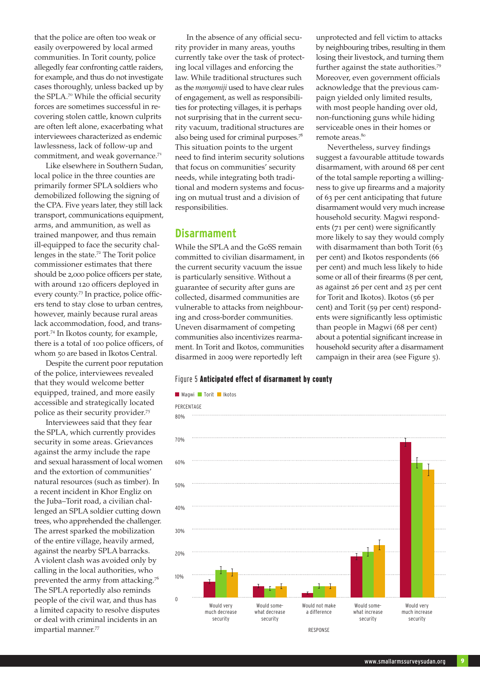that the police are often too weak or easily overpowered by local armed communities. In Torit county, police allegedly fear confronting cattle raiders, for example, and thus do not investigate cases thoroughly, unless backed up by the SPLA.<sup>70</sup> While the official security forces are sometimes successful in recovering stolen cattle, known culprits are often left alone, exacerbating what interviewees characterized as endemic lawlessness, lack of follow-up and commitment, and weak governance.<sup>71</sup>

Like elsewhere in Southern Sudan, local police in the three counties are primarily former SPLA soldiers who demobilized following the signing of the CPA. Five years later, they still lack transport, communications equipment, arms, and ammunition, as well as trained manpower, and thus remain ill-equipped to face the security challenges in the state.<sup>72</sup> The Torit police commissioner estimates that there should be 2,000 police officers per state, with around 120 officers deployed in every county.<sup>73</sup> In practice, police officers tend to stay close to urban centres, however, mainly because rural areas lack accommodation, food, and transport.<sup>74</sup> In Ikotos county, for example, there is a total of 100 police officers, of whom 50 are based in Ikotos Central.

Despite the current poor reputation of the police, interviewees revealed that they would welcome better equipped, trained, and more easily accessible and strategically located police as their security provider.<sup>75</sup>

Interviewees said that they fear the SPLA, which currently provides security in some areas. Grievances against the army include the rape and sexual harassment of local women and the extortion of communities' natural resources (such as timber). In a recent incident in Khor Engliz on the Juba–Torit road, a civilian challenged an SPLA soldier cutting down trees, who apprehended the challenger. The arrest sparked the mobilization of the entire village, heavily armed, against the nearby SPLA barracks. A violent clash was avoided only by calling in the local authorities, who prevented the army from attacking.<sup>76</sup> The SPLA reportedly also reminds people of the civil war, and thus has a limited capacity to resolve disputes or deal with criminal incidents in an impartial manner.<sup>77</sup>

In the absence of any official security provider in many areas, youths currently take over the task of protecting local villages and enforcing the law. While traditional structures such as the *monyomiji* used to have clear rules of engagement, as well as responsibilities for protecting villages, it is perhaps not surprising that in the current security vacuum, traditional structures are also being used for criminal purposes.<sup>78</sup> This situation points to the urgent need to find interim security solutions that focus on communities' security needs, while integrating both traditional and modern systems and focusing on mutual trust and a division of responsibilities.

### **Disarmament**

While the SPLA and the GoSS remain committed to civilian disarmament, in the current security vacuum the issue is particularly sensitive. Without a guarantee of security after guns are collected, disarmed communities are vulnerable to attacks from neighbouring and cross-border communities. Uneven disarmament of competing communities also incentivizes rearmament. In Torit and Ikotos, communities disarmed in 2009 were reportedly left

#### Figure 5 Anticipated effect of disarmament by county

#### Would very much increase security Would very much decrease security Would somewhat decrease security Would not make a difference Would somewhat increase security RESPONSE **Magwi** Torit **Ikotos** PERCENTAGE 80% 70% 60% 50% 40% 30% 20% 10%  $\Omega$

unprotected and fell victim to attacks by neighbouring tribes, resulting in them losing their livestock, and turning them further against the state authorities.<sup>79</sup> Moreover, even government officials acknowledge that the previous campaign yielded only limited results, with most people handing over old, non-functioning guns while hiding serviceable ones in their homes or remote areas.<sup>80</sup>

Nevertheless, survey findings suggest a favourable attitude towards disarmament, with around 68 per cent of the total sample reporting a willingness to give up firearms and a majority of 63 per cent anticipating that future disarmament would very much increase household security. Magwi respondents (71 per cent) were significantly more likely to say they would comply with disarmament than both Torit (63 per cent) and Ikotos respondents (66 per cent) and much less likely to hide some or all of their firearms (8 per cent, as against 26 per cent and 25 per cent for Torit and Ikotos). Ikotos (56 per cent) and Torit (59 per cent) respondents were significantly less optimistic than people in Magwi (68 per cent) about a potential significant increase in household security after a disarmament campaign in their area (see Figure 5).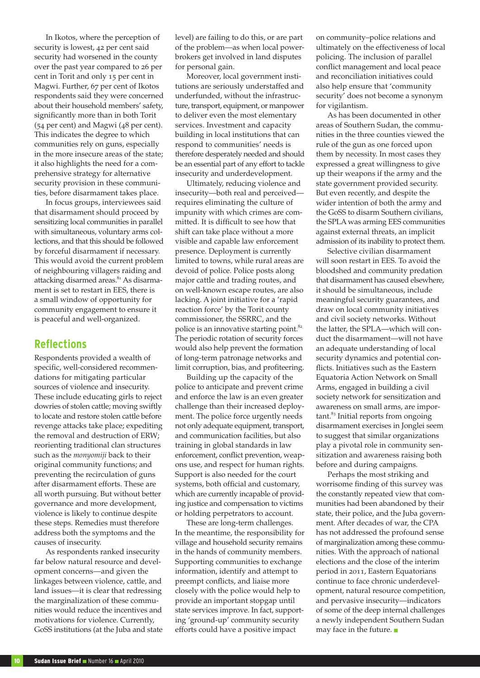In Ikotos, where the perception of security is lowest, 42 per cent said security had worsened in the county over the past year compared to 26 per cent in Torit and only 15 per cent in Magwi. Further, 67 per cent of Ikotos respondents said they were concerned about their household members' safety, significantly more than in both Torit (54 per cent) and Magwi (48 per cent). This indicates the degree to which communities rely on guns, especially in the more insecure areas of the state; it also highlights the need for a comprehensive strategy for alternative security provision in these communities, before disarmament takes place.

In focus groups, interviewees said that disarmament should proceed by sensitizing local communities in parallel with simultaneous, voluntary arms collections, and that this should be followed by forceful disarmament if necessary. This would avoid the current problem of neighbouring villagers raiding and attacking disarmed areas.<sup>81</sup> As disarmament is set to restart in EES, there is a small window of opportunity for community engagement to ensure it is peaceful and well-organized.

### **Reflections**

Respondents provided a wealth of specific, well-considered recommendations for mitigating particular sources of violence and insecurity. These include educating girls to reject dowries of stolen cattle; moving swiftly to locate and restore stolen cattle before revenge attacks take place; expediting the removal and destruction of ERW; reorienting traditional clan structures such as the *monyomiji* back to their original community functions; and preventing the recirculation of guns after disarmament efforts. These are all worth pursuing. But without better governance and more development, violence is likely to continue despite these steps. Remedies must therefore address both the symptoms and the causes of insecurity.

As respondents ranked insecurity far below natural resource and development concerns—and given the linkages between violence, cattle, and land issues—it is clear that redressing the marginalization of these communities would reduce the incentives and motivations for violence. Currently, GoSS institutions (at the Juba and state level) are failing to do this, or are part of the problem—as when local powerbrokers get involved in land disputes for personal gain.

Moreover, local government institutions are seriously understaffed and underfunded, without the infrastructure, transport, equipment, or manpower to deliver even the most elementary services. Investment and capacity building in local institutions that can respond to communities' needs is therefore desperately needed and should be an essential part of any effort to tackle insecurity and underdevelopment.

Ultimately, reducing violence and insecurity—both real and perceived requires eliminating the culture of impunity with which crimes are committed. It is difficult to see how that shift can take place without a more visible and capable law enforcement presence. Deployment is currently limited to towns, while rural areas are devoid of police. Police posts along major cattle and trading routes, and on well-known escape routes, are also lacking. A joint initiative for a 'rapid reaction force' by the Torit county commissioner, the SSRRC, and the police is an innovative starting point.<sup>82</sup> The periodic rotation of security forces would also help prevent the formation of long-term patronage networks and limit corruption, bias, and profiteering.

Building up the capacity of the police to anticipate and prevent crime and enforce the law is an even greater challenge than their increased deployment. The police force urgently needs not only adequate equipment, transport, and communication facilities, but also training in global standards in law enforcement, conflict prevention, weapons use, and respect for human rights. Support is also needed for the court systems, both official and customary, which are currently incapable of providing justice and compensation to victims or holding perpetrators to account.

These are long-term challenges. In the meantime, the responsibility for village and household security remains in the hands of community members. Supporting communities to exchange information, identify and attempt to preempt conflicts, and liaise more closely with the police would help to provide an important stopgap until state services improve. In fact, supporting 'ground-up' community security efforts could have a positive impact

on community–police relations and ultimately on the effectiveness of local policing. The inclusion of parallel conflict management and local peace and reconciliation initiatives could also help ensure that 'community security' does not become a synonym for vigilantism.

As has been documented in other areas of Southern Sudan, the communities in the three counties viewed the rule of the gun as one forced upon them by necessity. In most cases they expressed a great willingness to give up their weapons if the army and the state government provided security. But even recently, and despite the wider intention of both the army and the GoSS to disarm Southern civilians, the SPLA was arming EES communities against external threats, an implicit admission of its inability to protect them.

Selective civilian disarmament will soon restart in EES. To avoid the bloodshed and community predation that disarmament has caused elsewhere, it should be simultaneous, include meaningful security guarantees, and draw on local community initiatives and civil society networks. Without the latter, the SPLA—which will conduct the disarmament—will not have an adequate understanding of local security dynamics and potential conflicts. Initiatives such as the Eastern Equatoria Action Network on Small Arms, engaged in building a civil society network for sensitization and awareness on small arms, are important.<sup>83</sup> Initial reports from ongoing disarmament exercises in Jonglei seem to suggest that similar organizations play a pivotal role in community sensitization and awareness raising both before and during campaigns.

Perhaps the most striking and worrisome finding of this survey was the constantly repeated view that communities had been abandoned by their state, their police, and the Juba government. After decades of war, the CPA has not addressed the profound sense of marginalization among these communities. With the approach of national elections and the close of the interim period in 2011, Eastern Equatorians continue to face chronic underdevelopment, natural resource competition, and pervasive insecurity—indicators of some of the deep internal challenges a newly independent Southern Sudan may face in the future.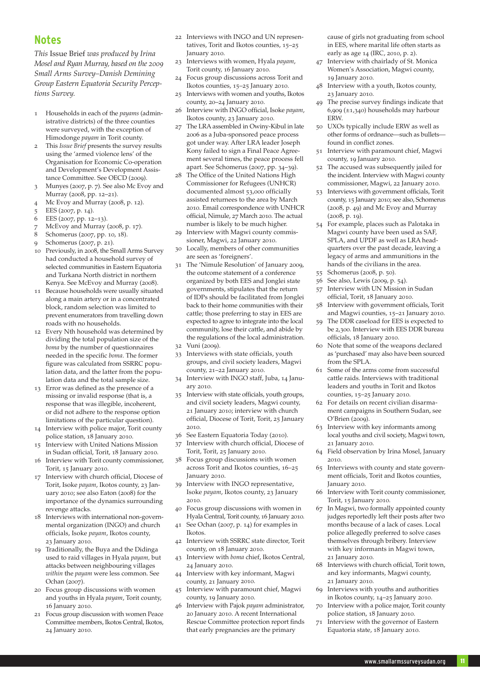### **Notes**

*This* Issue Brief *was produced by Irina Mosel and Ryan Murray, based on the 2009 Small Arms Survey–Danish Demining Group Eastern Equatoria Security Perceptions Survey.*

- 1 Households in each of the *payams* (administrative districts) of the three counties were surveyed, with the exception of Himodonge *payam* in Torit county.
- 2 This *Issue Brief* presents the survey results using the 'armed violence lens' of the Organisation for Economic Co-operation and Development's Development Assistance Committee. See OECD (2009).
- 3 Munyes (2007, p. 7). See also Mc Evoy and Murray (2008, pp. 12–21).
- 4 Mc Evoy and Murray (2008, p. 12).
- EES (2007, p. 14).
- 6 EES (2007, pp. 12–13).
- McEvoy and Murray (2008, p. 17).
- 8 Schomerus (2007, pp. 10, 18).
- 9 Schomerus (2007, p. 21).
- 10 Previously, in 2008, the Small Arms Survey had conducted a household survey of selected communities in Eastern Equatoria and Turkana North district in northern Kenya. See McEvoy and Murray (2008).
- 11 Because households were usually situated along a main artery or in a concentrated block, random selection was limited to prevent enumerators from travelling down roads with no households.
- 12 Every Nth household was determined by dividing the total population size of the *boma* by the number of questionnaires needed in the specific *boma*. The former figure was calculated from SSRRC population data, and the latter from the population data and the total sample size.
- 13 Error was defined as the presence of a missing or invalid response (that is, a response that was illegible, incoherent, or did not adhere to the response option limitations of the particular question).
- 14 Interview with police major, Torit county police station, 18 January 2010.
- 15 Interview with United Nations Mission in Sudan official, Torit, 18 January 2010.
- 16 Interview with Torit county commissioner, Torit, 15 January 2010.
- 17 Interview with church official, Diocese of Torit, Isoke *payam*, Ikotos county, 23 January 2010; see also Eaton (2008) for the importance of the dynamics surrounding revenge attacks.
- 18 Interviews with international non-governmental organization (INGO) and church officials, Isoke *payam*, Ikotos county, 23 January 2010.
- 19 Traditionally, the Buya and the Didinga used to raid villages in Hyala *payam,* but attacks between neighbouring villages *within* the *payam* were less common. See Ochan (2007).
- 20 Focus group discussions with women and youths in Hyala *payam*, Torit county, 16 January 2010.
- 21 Focus group discussion with women Peace Committee members, Ikotos Central, Ikotos, 24 January 2010.
- 22 Interviews with INGO and UN representatives, Torit and Ikotos counties, 15–25 January 2010.
- 23 Interviews with women, Hyala *payam*, Torit county, 16 January 2010.
- 24 Focus group discussions across Torit and Ikotos counties, 15–25 January 2010.
- 25 Interviews with women and youths, Ikotos county, 20–24 January 2010.
- 26 Interview with INGO official, Isoke *payam*, Ikotos county, 23 January 2010.
- 27 The LRA assembled in Owiny-Kibul in late 2006 as a Juba-sponsored peace process got under way. After LRA leader Joseph Kony failed to sign a Final Peace Agreement several times, the peace process fell apart. See Schomerus (2007, pp. 34–39).
- 28 The Office of the United Nations High Commissioner for Refugees (UNHCR) documented almost 53,000 officially assisted returnees to the area by March 2010. Email correspondence with UNHCR official, Nimule, 27 March 2010. The actual number is likely to be much higher.
- Interview with Magwi county commissioner, Magwi, 22 January 2010.
- 30 Locally, members of other communities are seen as 'foreigners'.
- 31 The 'Nimule Resolution' of January 2009, the outcome statement of a conference organized by both EES and Jonglei state governments, stipulates that the return of IDPs should be facilitated from Jonglei back to their home communities with their cattle; those preferring to stay in EES are expected to agree to integrate into the local community, lose their cattle, and abide by the regulations of the local administration.
- 32 Vuni (2009).
- 33 Interviews with state officials, youth groups, and civil society leaders, Magwi county, 21–22 January 2010.
- 34 Interview with INGO staff, Juba, 14 January 2010.
- 35 Interview with state officials, youth groups, and civil society leaders, Magwi county, 21 January 2010; interview with church official, Diocese of Torit, Torit, 25 January 2010.
- 36 See Eastern Equatoria Today (2010).
- 37 Interview with church official, Diocese of Torit, Torit, 25 January 2010.
- 38 Focus group discussions with women across Torit and Ikotos counties, 16–25 January 2010.
- 39 Interview with INGO representative, Isoke *payam*, Ikotos county, 23 January 2010.
- 40 Focus group discussions with women in Hyala Central, Torit county, 16 January 2010.
- 41 See Ochan (2007, p. 14) for examples in Ikotos.
- 42 Interview with SSRRC state director, Torit county, on 18 January 2010.
- 43 Interview with *boma* chief, Ikotos Central, 24 January 2010.
- 44 Interview with key informant, Magwi county, 21 January 2010.
- 45 Interview with paramount chief, Magwi county, 19 January 2010.
- 46 Interview with Pajok *payam* administrator, 20 January 2010. A recent International Rescue Committee protection report finds that early pregnancies are the primary

cause of girls not graduating from school in EES, where marital life often starts as early as age 14 (IRC, 2010, p. 2).

- 47 Interview with chairlady of St. Monica Women's Association, Magwi county, 19 January 2010.
- 48 Interview with a youth, Ikotos county, 23 January 2010.
- 49 The precise survey findings indicate that 6,909 (±1,340) households may harbour ERW.
- 50 UXOs typically include ERW as well as other forms of ordnance—such as bullets found in conflict zones.
- 51 Interview with paramount chief, Magwi county, 19 January 2010.
- The accused was subsequently jailed for the incident. Interview with Magwi county commissioner, Magwi, 22 January 2010.
- 53 Interviews with government officials, Torit county, 15 January 2010; see also, Schomerus (2008, p. 49) and Mc Evoy and Murray (2008, p. 19).
- 54 For example, places such as Palotaka in Magwi county have been used as SAF, SPLA, and UPDF as well as LRA headquarters over the past decade, leaving a legacy of arms and ammunitions in the hands of the civilians in the area.
- 55 Schomerus (2008, p. 50).
- 56 See also, Lewis (2009, p. 54).
- 57 Interview with UN Mission in Sudan official, Torit, 18 January 2010.
- 58 Interview with government officials, Torit and Magwi counties, 15–21 January 2010.
- 59 The DDR caseload for EES is expected to be 2,300. Interview with EES DDR bureau officials, 18 January 2010.
- 60 Note that some of the weapons declared as 'purchased' may also have been sourced from the SPLA.
- 61 Some of the arms come from successful cattle raids. Interviews with traditional leaders and youths in Torit and Ikotos counties, 15–25 January 2010.
- 62 For details on recent civilian disarmament campaigns in Southern Sudan, see O'Brien (2009).
- 63 Interview with key informants among local youths and civil society, Magwi town, 21 January 2010.
- 64 Field observation by Irina Mosel, January 2010.
- 65 Interviews with county and state government officials, Torit and Ikotos counties, January 2010.
- 66 Interview with Torit county commissioner, Torit, 15 January 2010.
- 67 In Magwi, two formally appointed county judges reportedly left their posts after two months because of a lack of cases. Local police allegedly preferred to solve cases themselves through bribery. Interview with key informants in Magwi town, 21 January 2010.
- 68 Interviews with church official, Torit town, and key informants, Magwi county, 21 January 2010.
- Interviews with youths and authorities in Ikotos county, 14–25 January 2010.
- 70 Interview with a police major, Torit county police station, 18 January 2010.
- 71 Interview with the governor of Eastern Equatoria state, 18 January 2010.